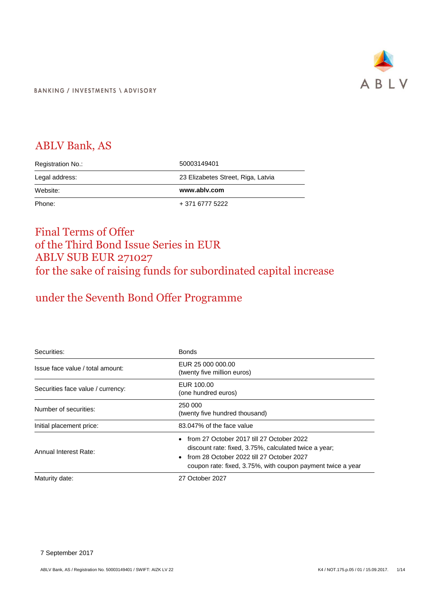

## ABLV Bank, AS

| Registration No.: | 50003149401                        |
|-------------------|------------------------------------|
| Legal address:    | 23 Elizabetes Street, Riga, Latvia |
|                   |                                    |
| Website:          | www.ablv.com                       |

## Final Terms of Offer of the Third Bond Issue Series in EUR ABLV SUB EUR 271027 for the sake of raising funds for subordinated capital increase

# under the Seventh Bond Offer Programme

| Securities:                       | <b>Bonds</b>                                                                                                                                                                                                   |
|-----------------------------------|----------------------------------------------------------------------------------------------------------------------------------------------------------------------------------------------------------------|
| Issue face value / total amount:  | EUR 25 000 000.00<br>(twenty five million euros)                                                                                                                                                               |
| Securities face value / currency: | EUR 100.00<br>(one hundred euros)                                                                                                                                                                              |
| Number of securities:             | 250 000<br>(twenty five hundred thousand)                                                                                                                                                                      |
| Initial placement price:          | 83.047% of the face value                                                                                                                                                                                      |
| Annual Interest Rate:             | from 27 October 2017 till 27 October 2022<br>discount rate: fixed, 3.75%, calculated twice a year;<br>from 28 October 2022 till 27 October 2027<br>coupon rate: fixed, 3.75%, with coupon payment twice a year |
| Maturity date:                    | 27 October 2027                                                                                                                                                                                                |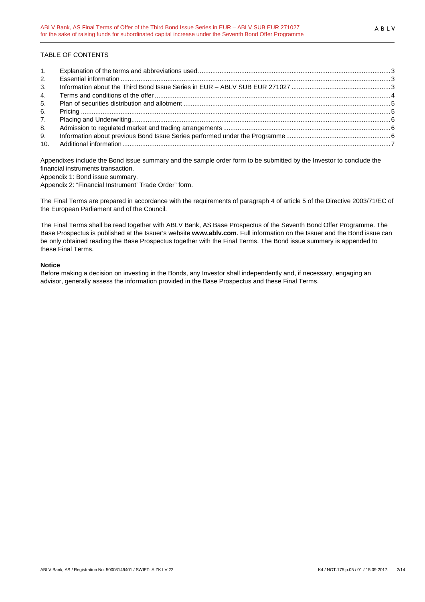## TABLE OF CONTENTS

| 2. |  |
|----|--|
| 3. |  |
| 4. |  |
| 5. |  |
| 6. |  |
| 7. |  |
| 8. |  |
| 9. |  |
|    |  |

Appendixes include the Bond issue summary and the sample order form to be submitted by the Investor to conclude the financial instruments transaction.

Appendix 1: Bond issue summary.

Appendix 2: "Financial Instrument' Trade Order" form.

The Final Terms are prepared in accordance with the requirements of paragraph 4 of article 5 of the Directive 2003/71/EC of the European Parliament and of the Council.

The Final Terms shall be read together with ABLV Bank, AS Base Prospectus of the Seventh Bond Offer Programme. The Base Prospectus is published at the Issuer's website **www.ablv.com**. Full information on the Issuer and the Bond issue can be only obtained reading the Base Prospectus together with the Final Terms. The Bond issue summary is appended to these Final Terms.

### **Notice**

Before making a decision on investing in the Bonds, any Investor shall independently and, if necessary, engaging an advisor, generally assess the information provided in the Base Prospectus and these Final Terms.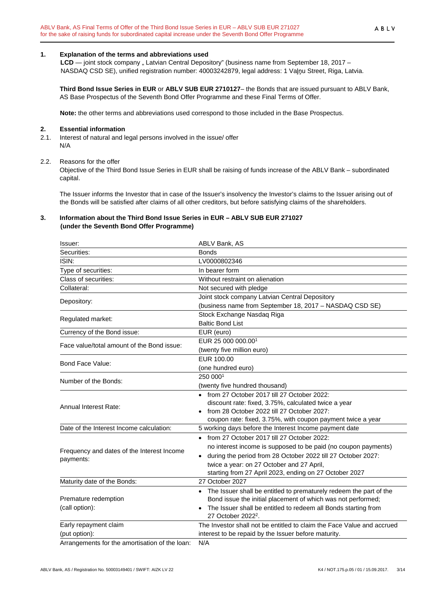#### **1. Explanation of the terms and abbreviations used**

LCD — joint stock company " Latvian Central Depository" (business name from September 18, 2017 – NASDAQ CSD SE), unified registration number: 40003242879, legal address: 1 Vaļņu Street, Riga, Latvia.

**Third Bond Issue Series in EUR** or **ABLV SUB EUR 2710127**– the Bonds that are issued pursuant to ABLV Bank, AS Base Prospectus of the Seventh Bond Offer Programme and these Final Terms of Offer.

**Note:** the other terms and abbreviations used correspond to those included in the Base Prospectus.

#### **2. Essential information**

2.1. Interest of natural and legal persons involved in the issue/ offer N/A

#### 2.2. Reasons for the offer

Objective of the Third Bond Issue Series in EUR shall be raising of funds increase of the ABLV Bank – subordinated capital.

The Issuer informs the Investor that in case of the Issuer's insolvency the Investor's claims to the Issuer arising out of the Bonds will be satisfied after claims of all other creditors, but before satisfying claims of the shareholders.

### **3. Information about the Third Bond Issue Series in EUR – ABLV SUB EUR 271027 (under the Seventh Bond Offer Programme)**

| lssuer:                                        | ABLV Bank, AS                                                                                    |
|------------------------------------------------|--------------------------------------------------------------------------------------------------|
| Securities:                                    | <b>Bonds</b>                                                                                     |
| ISIN:                                          | LV0000802346                                                                                     |
| Type of securities:                            | In bearer form                                                                                   |
| Class of securities:                           | Without restraint on alienation                                                                  |
| Collateral:                                    | Not secured with pledge                                                                          |
|                                                | Joint stock company Latvian Central Depository                                                   |
| Depository:                                    | (business name from September 18, 2017 - NASDAQ CSD SE)                                          |
| Regulated market:                              | Stock Exchange Nasdaq Riga                                                                       |
|                                                | <b>Baltic Bond List</b>                                                                          |
| Currency of the Bond issue:                    | EUR (euro)                                                                                       |
| Face value/total amount of the Bond issue:     | EUR 25 000 000.001                                                                               |
|                                                | (twenty five million euro)                                                                       |
| Bond Face Value:                               | EUR 100.00                                                                                       |
|                                                | (one hundred euro)                                                                               |
| Number of the Bonds:                           | 250 0001                                                                                         |
|                                                | (twenty five hundred thousand)                                                                   |
|                                                | • from 27 October 2017 till 27 October 2022:                                                     |
| Annual Interest Rate:                          | discount rate: fixed, 3.75%, calculated twice a year                                             |
|                                                | from 28 October 2022 till 27 October 2027:                                                       |
|                                                | coupon rate: fixed, 3.75%, with coupon payment twice a year                                      |
| Date of the Interest Income calculation:       | 5 working days before the Interest Income payment date                                           |
|                                                | • from 27 October 2017 till 27 October 2022:                                                     |
| Frequency and dates of the Interest Income     | no interest income is supposed to be paid (no coupon payments)                                   |
| payments:                                      | during the period from 28 October 2022 till 27 October 2027:<br>$\bullet$                        |
|                                                | twice a year: on 27 October and 27 April,                                                        |
|                                                | starting from 27 April 2023, ending on 27 October 2027                                           |
| Maturity date of the Bonds:                    | 27 October 2027                                                                                  |
|                                                | The Issuer shall be entitled to prematurely redeem the part of the                               |
| Premature redemption                           | Bond issue the initial placement of which was not performed;                                     |
| (call option):                                 | The Issuer shall be entitled to redeem all Bonds starting from<br>27 October 2022 <sup>2</sup> . |
| Early repayment claim                          | The Investor shall not be entitled to claim the Face Value and accrued                           |
| (put option):                                  | interest to be repaid by the Issuer before maturity.                                             |
| Arrangements for the amortisation of the loan: | $N/\Delta$                                                                                       |

Arrangements for the amortisation of the loan: N/A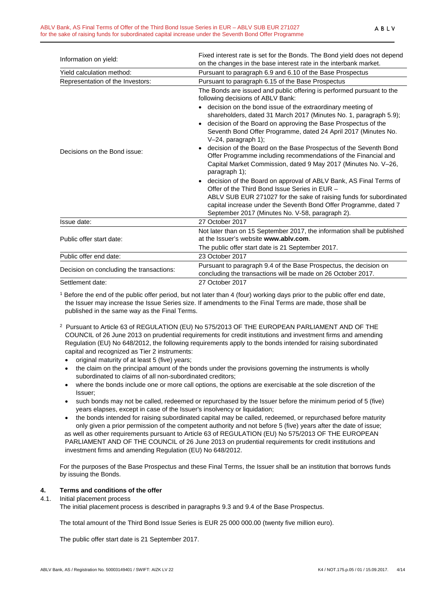|                                          | Fixed interest rate is set for the Bonds. The Bond yield does not depend                                                                                                                                                                                                                                                                                                                                                                                                                                                                                                                                                                                                                                                                                                                                                                                                                                                                                                        |
|------------------------------------------|---------------------------------------------------------------------------------------------------------------------------------------------------------------------------------------------------------------------------------------------------------------------------------------------------------------------------------------------------------------------------------------------------------------------------------------------------------------------------------------------------------------------------------------------------------------------------------------------------------------------------------------------------------------------------------------------------------------------------------------------------------------------------------------------------------------------------------------------------------------------------------------------------------------------------------------------------------------------------------|
| Information on yield:                    | on the changes in the base interest rate in the interbank market.                                                                                                                                                                                                                                                                                                                                                                                                                                                                                                                                                                                                                                                                                                                                                                                                                                                                                                               |
| Yield calculation method:                | Pursuant to paragraph 6.9 and 6.10 of the Base Prospectus                                                                                                                                                                                                                                                                                                                                                                                                                                                                                                                                                                                                                                                                                                                                                                                                                                                                                                                       |
| Representation of the Investors:         | Pursuant to paragraph 6.15 of the Base Prospectus                                                                                                                                                                                                                                                                                                                                                                                                                                                                                                                                                                                                                                                                                                                                                                                                                                                                                                                               |
| Decisions on the Bond issue:             | The Bonds are issued and public offering is performed pursuant to the<br>following decisions of ABLV Bank:<br>• decision on the bond issue of the extraordinary meeting of<br>shareholders, dated 31 March 2017 (Minutes No. 1, paragraph 5.9);<br>decision of the Board on approving the Base Prospectus of the<br>$\bullet$<br>Seventh Bond Offer Programme, dated 24 April 2017 (Minutes No.<br>V-24, paragraph 1);<br>decision of the Board on the Base Prospectus of the Seventh Bond<br>$\bullet$<br>Offer Programme including recommendations of the Financial and<br>Capital Market Commission, dated 9 May 2017 (Minutes No. V-26,<br>paragraph 1);<br>decision of the Board on approval of ABLV Bank, AS Final Terms of<br>Offer of the Third Bond Issue Series in EUR -<br>ABLV SUB EUR 271027 for the sake of raising funds for subordinated<br>capital increase under the Seventh Bond Offer Programme, dated 7<br>September 2017 (Minutes No. V-58, paragraph 2). |
| Issue date:                              | 27 October 2017                                                                                                                                                                                                                                                                                                                                                                                                                                                                                                                                                                                                                                                                                                                                                                                                                                                                                                                                                                 |
| Public offer start date:                 | Not later than on 15 September 2017, the information shall be published<br>at the Issuer's website www.ably.com.<br>The public offer start date is 21 September 2017.                                                                                                                                                                                                                                                                                                                                                                                                                                                                                                                                                                                                                                                                                                                                                                                                           |
| Public offer end date:                   | 23 October 2017                                                                                                                                                                                                                                                                                                                                                                                                                                                                                                                                                                                                                                                                                                                                                                                                                                                                                                                                                                 |
| Decision on concluding the transactions: | Pursuant to paragraph 9.4 of the Base Prospectus, the decision on<br>concluding the transactions will be made on 26 October 2017.                                                                                                                                                                                                                                                                                                                                                                                                                                                                                                                                                                                                                                                                                                                                                                                                                                               |
| Settlement date:                         | 27 October 2017                                                                                                                                                                                                                                                                                                                                                                                                                                                                                                                                                                                                                                                                                                                                                                                                                                                                                                                                                                 |

<sup>1</sup> Before the end of the public offer period, but not later than 4 (four) working days prior to the public offer end date, the Issuer may increase the Issue Series size. If amendments to the Final Terms are made, those shall be published in the same way as the Final Terms.

- 2 Pursuant to Article 63 of REGULATION (EU) No 575/2013 OF THE EUROPEAN PARLIAMENT AND OF THE COUNCIL of 26 June 2013 on prudential requirements for credit institutions and investment firms and amending Regulation (EU) No 648/2012, the following requirements apply to the bonds intended for raising subordinated capital and recognized as Tier 2 instruments:
	- original maturity of at least 5 (five) years;
	- the claim on the principal amount of the bonds under the provisions governing the instruments is wholly subordinated to claims of all non-subordinated creditors;
	- where the bonds include one or more call options, the options are exercisable at the sole discretion of the Issuer;
	- such bonds may not be called, redeemed or repurchased by the Issuer before the minimum period of 5 (five) years elapses, except in case of the Issuer's insolvency or liquidation;
	- the bonds intended for raising subordinated capital may be called, redeemed, or repurchased before maturity only given a prior permission of the competent authority and not before 5 (five) years after the date of issue; as well as other requirements pursuant to Article 63 of REGULATION (EU) No 575/2013 OF THE EUROPEAN PARLIAMENT AND OF THE COUNCIL of 26 June 2013 on prudential requirements for credit institutions and investment firms and amending Regulation (EU) No 648/2012.

For the purposes of the Base Prospectus and these Final Terms, the Issuer shall be an institution that borrows funds by issuing the Bonds.

## **4. Terms and conditions of the offer**

#### 4.1. Initial placement process

The initial placement process is described in paragraphs 9.3 and 9.4 of the Base Prospectus.

The total amount of the Third Bond Issue Series is EUR 25 000 000.00 (twenty five million euro).

The public offer start date is 21 September 2017.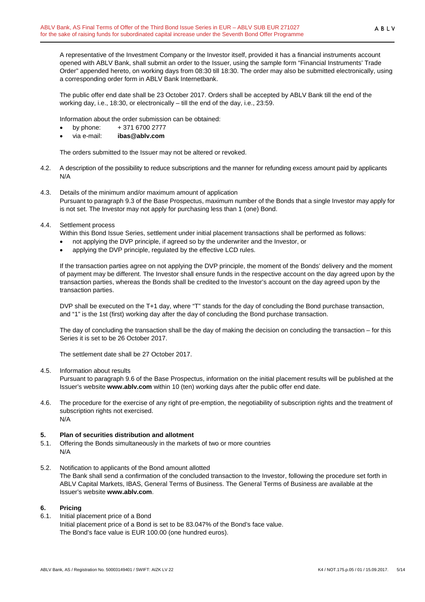A representative of the Investment Company or the Investor itself, provided it has a financial instruments account opened with ABLV Bank, shall submit an order to the Issuer, using the sample form "Financial Instruments' Trade Order" appended hereto, on working days from 08:30 till 18:30. The order may also be submitted electronically, using a corresponding order form in ABLV Bank Internetbank.

The public offer end date shall be 23 October 2017. Orders shall be accepted by ABLV Bank till the end of the working day, i.e., 18:30, or electronically – till the end of the day, i.e., 23:59.

Information about the order submission can be obtained:

- by phone: + 371 6700 2777
- via e-mail: **ibas@ablv.com**

The orders submitted to the Issuer may not be altered or revoked.

- 4.2. A description of the possibility to reduce subscriptions and the manner for refunding excess amount paid by applicants N/A
- 4.3. Details of the minimum and/or maximum amount of application Pursuant to paragraph 9.3 of the Base Prospectus, maximum number of the Bonds that a single Investor may apply for is not set. The Investor may not apply for purchasing less than 1 (one) Bond.
- 4.4. Settlement process

Within this Bond Issue Series, settlement under initial placement transactions shall be performed as follows:

- not applying the DVP principle, if agreed so by the underwriter and the Investor, or
- applying the DVP principle, regulated by the effective LCD rules.

If the transaction parties agree on not applying the DVP principle, the moment of the Bonds' delivery and the moment of payment may be different. The Investor shall ensure funds in the respective account on the day agreed upon by the transaction parties, whereas the Bonds shall be credited to the Investor's account on the day agreed upon by the transaction parties.

DVP shall be executed on the T+1 day, where "T" stands for the day of concluding the Bond purchase transaction, and "1" is the 1st (first) working day after the day of concluding the Bond purchase transaction.

The day of concluding the transaction shall be the day of making the decision on concluding the transaction – for this Series it is set to be 26 October 2017.

The settlement date shall be 27 October 2017.

4.5. Information about results

Pursuant to paragraph 9.6 of the Base Prospectus, information on the initial placement results will be published at the Issuer's website **www.ablv.com** within 10 (ten) working days after the public offer end date.

4.6. The procedure for the exercise of any right of pre-emption, the negotiability of subscription rights and the treatment of subscription rights not exercised. N/A

#### **5. Plan of securities distribution and allotment**

- 5.1. Offering the Bonds simultaneously in the markets of two or more countries N/A
- 5.2. Notification to applicants of the Bond amount allotted The Bank shall send a confirmation of the concluded transaction to the Investor, following the procedure set forth in ABLV Capital Markets, IBAS, General Terms of Business. The General Terms of Business are available at the Issuer's website **www.ablv.com**.

## **6. Pricing**

6.1. Initial placement price of a Bond Initial placement price of a Bond is set to be 83.047% of the Bond's face value. The Bond's face value is EUR 100.00 (one hundred euros).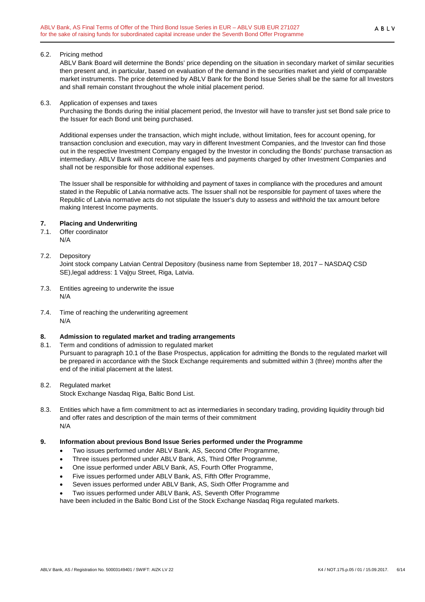#### 6.2. Pricing method

ABLV Bank Board will determine the Bonds' price depending on the situation in secondary market of similar securities then present and, in particular, based on evaluation of the demand in the securities market and yield of comparable market instruments. The price determined by ABLV Bank for the Bond Issue Series shall be the same for all Investors and shall remain constant throughout the whole initial placement period.

#### 6.3. Application of expenses and taxes

Purchasing the Bonds during the initial placement period, the Investor will have to transfer just set Bond sale price to the Issuer for each Bond unit being purchased.

Additional expenses under the transaction, which might include, without limitation, fees for account opening, for transaction conclusion and execution, may vary in different Investment Companies, and the Investor can find those out in the respective Investment Company engaged by the Investor in concluding the Bonds' purchase transaction as intermediary. ABLV Bank will not receive the said fees and payments charged by other Investment Companies and shall not be responsible for those additional expenses.

The Issuer shall be responsible for withholding and payment of taxes in compliance with the procedures and amount stated in the Republic of Latvia normative acts. The Issuer shall not be responsible for payment of taxes where the Republic of Latvia normative acts do not stipulate the Issuer's duty to assess and withhold the tax amount before making Interest Income payments.

## **7. Placing and Underwriting**

- 7.1. Offer coordinator N/A
- 7.2. Depository

Joint stock company Latvian Central Depository (business name from September 18, 2017 – NASDAQ CSD SE),legal address: 1 Vaļņu Street, Riga, Latvia.

- 7.3. Entities agreeing to underwrite the issue N/A
- 7.4. Time of reaching the underwriting agreement N/A

## **8. Admission to regulated market and trading arrangements**

- 8.1. Term and conditions of admission to regulated market Pursuant to paragraph 10.1 of the Base Prospectus, application for admitting the Bonds to the regulated market will be prepared in accordance with the Stock Exchange requirements and submitted within 3 (three) months after the end of the initial placement at the latest.
- 8.2. Regulated market Stock Exchange Nasdaq Riga, Baltic Bond List.
- 8.3. Entities which have a firm commitment to act as intermediaries in secondary trading, providing liquidity through bid and offer rates and description of the main terms of their commitment N/A

## **9. Information about previous Bond Issue Series performed under the Programme**

- Two issues performed under ABLV Bank, AS, Second Offer Programme,
- Three issues performed under ABLV Bank, AS, Third Offer Programme,
- One issue performed under ABLV Bank, AS, Fourth Offer Programme,
- Five issues performed under ABLV Bank, AS, Fifth Offer Programme,
- Seven issues performed under ABLV Bank, AS, Sixth Offer Programme and
- Two issues performed under ABLV Bank, AS, Seventh Offer Programme

have been included in the Baltic Bond List of the Stock Exchange Nasdaq Riga regulated markets.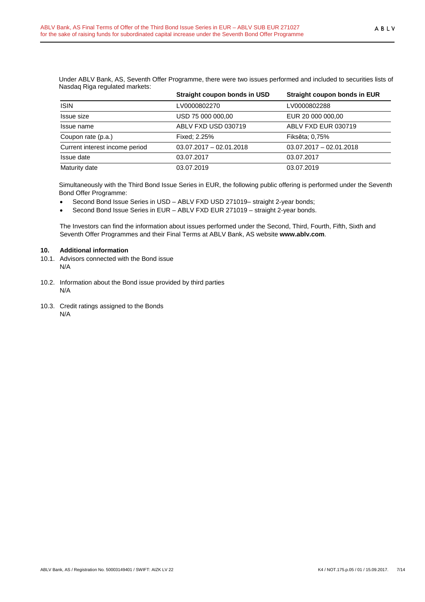| redsuay ruga regulated markets. |                              |                              |
|---------------------------------|------------------------------|------------------------------|
|                                 | Straight coupon bonds in USD | Straight coupon bonds in EUR |
| <b>ISIN</b>                     | LV0000802270                 | LV0000802288                 |
| Issue size                      | USD 75 000 000,00            | EUR 20 000 000,00            |
| Issue name                      | ABLV FXD USD 030719          | ABLV FXD EUR 030719          |
| Coupon rate (p.a.)              | Fixed: 2.25%                 | Fiksēta; 0,75%               |
| Current interest income period  | $03.07.2017 - 02.01.2018$    | $03.07.2017 - 02.01.2018$    |
| Issue date                      | 03.07.2017                   | 03.07.2017                   |
| Maturity date                   | 03.07.2019                   | 03.07.2019                   |

Under ABLV Bank, AS, Seventh Offer Programme, there were two issues performed and included to securities lists of Nasdaq Riga regulated markets:

Simultaneously with the Third Bond Issue Series in EUR, the following public offering is performed under the Seventh Bond Offer Programme:

- Second Bond Issue Series in USD ABLV FXD USD 271019– straight 2-year bonds;
- Second Bond Issue Series in EUR ABLV FXD EUR 271019 straight 2-year bonds.

The Investors can find the information about issues performed under the Second, Third, Fourth, Fifth, Sixth and Seventh Offer Programmes and their Final Terms at ABLV Bank, AS website **www.ablv.com**.

#### **10. Additional information**

- 10.1. Advisors connected with the Bond issue N/A
- 10.2. Information about the Bond issue provided by third parties N/A
- 10.3. Credit ratings assigned to the Bonds N/A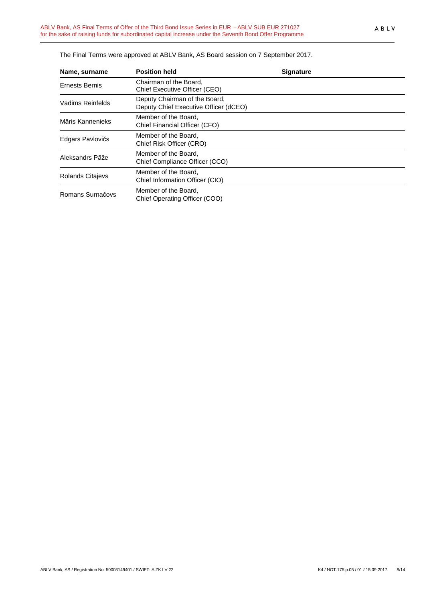| The Final Terms were approved at ABLV Bank, AS Board session on 7 September 2017. |  |  |  |  |
|-----------------------------------------------------------------------------------|--|--|--|--|
|                                                                                   |  |  |  |  |

| Name, surname         | <b>Position held</b>                                                   | <b>Signature</b> |
|-----------------------|------------------------------------------------------------------------|------------------|
| <b>Ernests Bernis</b> | Chairman of the Board,<br>Chief Executive Officer (CEO)                |                  |
| Vadims Reinfelds      | Deputy Chairman of the Board,<br>Deputy Chief Executive Officer (dCEO) |                  |
| Māris Kannenieks      | Member of the Board,<br>Chief Financial Officer (CFO)                  |                  |
| Edgars Pavlovičs      | Member of the Board.<br>Chief Risk Officer (CRO)                       |                  |
| Aleksandrs Pāže       | Member of the Board,<br>Chief Compliance Officer (CCO)                 |                  |
| Rolands Citajevs      | Member of the Board,<br>Chief Information Officer (CIO)                |                  |
| Romans Surnačovs      | Member of the Board,<br>Chief Operating Officer (COO)                  |                  |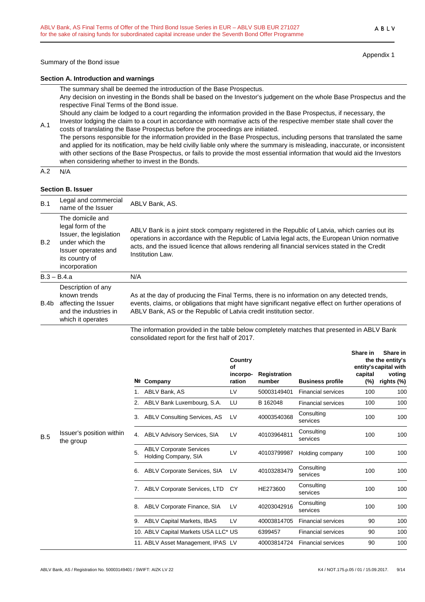Summary of the Bond issue

Appendix 1

ABLV

### **Section A. Introduction and warnings**

The summary shall be deemed the introduction of the Base Prospectus.

Any decision on investing in the Bonds shall be based on the Investor's judgement on the whole Base Prospectus and the respective Final Terms of the Bond issue.

Should any claim be lodged to a court regarding the information provided in the Base Prospectus, if necessary, the Investor lodging the claim to a court in accordance with normative acts of the respective member state shall cover the

A.1 costs of translating the Base Prospectus before the proceedings are initiated. The persons responsible for the information provided in the Base Prospectus, including persons that translated the same and applied for its notification, may be held civilly liable only where the summary is misleading, inaccurate, or inconsistent with other sections of the Base Prospectus, or fails to provide the most essential information that would aid the Investors when considering whether to invest in the Bonds.

 $A.2 N/A$ 

## **Section B. Issuer**

| B.1  | Legal and commercial<br>name of the Issuer                                                                                                    | ABLV Bank, AS.                                                                                                                                                                                                                                                                                                        |
|------|-----------------------------------------------------------------------------------------------------------------------------------------------|-----------------------------------------------------------------------------------------------------------------------------------------------------------------------------------------------------------------------------------------------------------------------------------------------------------------------|
| B.2  | The domicile and<br>legal form of the<br>Issuer, the legislation<br>under which the<br>Issuer operates and<br>its country of<br>incorporation | ABLV Bank is a joint stock company registered in the Republic of Latvia, which carries out its<br>operations in accordance with the Republic of Latvia legal acts, the European Union normative<br>acts, and the issued licence that allows rendering all financial services stated in the Credit<br>Institution Law. |
|      | $B.3 - B.4.a$                                                                                                                                 | N/A                                                                                                                                                                                                                                                                                                                   |
| B.4b | Description of any<br>known trends<br>affecting the Issuer<br>and the industries in<br>which it operates                                      | As at the day of producing the Final Terms, there is no information on any detected trends,<br>events, claims, or obligations that might have significant negative effect on further operations of<br>ABLV Bank, AS or the Republic of Latvia credit institution sector.                                              |
|      |                                                                                                                                               | The information provided in the table below completely matches that presented in ABLV Bank                                                                                                                                                                                                                            |

The information provided in the table below completely matches that presented in ABLV Bank consolidated report for the first half of 2017.

|     |                                       |    |                                                        | Country<br>Οf      |                               |                           | Share in       | Share in<br>the the entity's<br>entity's capital with |
|-----|---------------------------------------|----|--------------------------------------------------------|--------------------|-------------------------------|---------------------------|----------------|-------------------------------------------------------|
|     |                                       |    | Nº Company                                             | incorpo-<br>ration | <b>Registration</b><br>number | <b>Business profile</b>   | capital<br>(%) | voting<br>rights (%)                                  |
|     |                                       |    | ABLV Bank, AS                                          | LV                 | 50003149401                   | <b>Financial services</b> | 100            | 100                                                   |
|     |                                       | 2. | ABLV Bank Luxembourg, S.A.                             | LU                 | B 162048                      | <b>Financial services</b> | 100            | 100                                                   |
|     |                                       | 3. | <b>ABLV Consulting Services, AS</b>                    | LV                 | 40003540368                   | Consulting<br>services    | 100            | 100                                                   |
| B.5 | Issuer's position within<br>the group | 4. | <b>ABLV Advisory Services, SIA</b>                     | LV                 | 40103964811                   | Consulting<br>services    | 100            | 100                                                   |
|     |                                       | 5. | <b>ABLV Corporate Services</b><br>Holding Company, SIA | LV                 | 40103799987                   | Holding company           | 100            | 100                                                   |
|     |                                       | 6. | ABLV Corporate Services, SIA                           | LV                 | 40103283479                   | Consulting<br>services    | 100            | 100                                                   |
|     |                                       | 7. | ABLV Corporate Services, LTD                           | <b>CY</b>          | HE273600                      | Consulting<br>services    | 100            | 100                                                   |
|     |                                       | 8. | ABLV Corporate Finance, SIA                            | LV                 | 40203042916                   | Consulting<br>services    | 100            | 100                                                   |
|     |                                       | 9. | <b>ABLV Capital Markets, IBAS</b>                      | LV                 | 40003814705                   | <b>Financial services</b> | 90             | 100                                                   |
|     |                                       |    | 10. ABLV Capital Markets USA LLC* US                   |                    | 6399457                       | <b>Financial services</b> | 90             | 100                                                   |
|     |                                       |    | 11. ABLV Asset Management, IPAS LV                     |                    | 40003814724                   | <b>Financial services</b> | 90             | 100                                                   |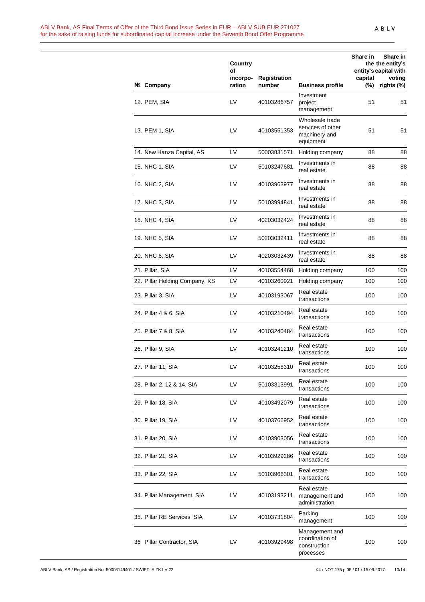#### ABLV Bank, AS Final Terms of Offer of the Third Bond Issue Series in EUR – ABLV SUB EUR 271027 for the sake of raising funds for subordinated capital increase under the Seventh Bond Offer Programme

|                                | Country<br>of<br>incorpo- | <b>Registration</b> |                                                                    | Share in<br>capital | Share in<br>the the entity's<br>entity's capital with<br>voting |
|--------------------------------|---------------------------|---------------------|--------------------------------------------------------------------|---------------------|-----------------------------------------------------------------|
| Nº Company                     | ration                    | number              | <b>Business profile</b><br>Investment                              | (%)                 | rights (%)                                                      |
| 12. PEM, SIA                   | LV                        | 40103286757         | project<br>management                                              | 51                  | 51                                                              |
| 13. PEM 1, SIA                 | LV                        | 40103551353         | Wholesale trade<br>services of other<br>machinery and<br>equipment | 51                  | 51                                                              |
| 14. New Hanza Capital, AS      | LV                        | 50003831571         | Holding company                                                    | 88                  | 88                                                              |
| 15. NHC 1, SIA                 | LV                        | 50103247681         | Investments in<br>real estate                                      | 88                  | 88                                                              |
| 16. NHC 2, SIA                 | LV                        | 40103963977         | Investments in<br>real estate                                      | 88                  | 88                                                              |
| 17. NHC 3, SIA                 | LV                        | 50103994841         | Investments in<br>real estate                                      | 88                  | 88                                                              |
| 18. NHC 4, SIA                 | LV                        | 40203032424         | Investments in<br>real estate                                      | 88                  | 88                                                              |
| 19. NHC 5, SIA                 | LV                        | 50203032411         | Investments in<br>real estate                                      | 88                  | 88                                                              |
| 20. NHC 6, SIA                 | LV                        | 40203032439         | Investments in<br>real estate                                      | 88                  | 88                                                              |
| 21. Pillar, SIA                | LV                        | 40103554468         | Holding company                                                    | 100                 | 100                                                             |
| 22. Pillar Holding Company, KS | LV                        | 40103260921         | Holding company                                                    | 100                 | 100                                                             |
| 23. Pillar 3, SIA              | LV                        | 40103193067         | Real estate<br>transactions                                        | 100                 | 100                                                             |
| 24. Pillar 4 & 6, SIA          | LV                        | 40103210494         | Real estate<br>transactions                                        | 100                 | 100                                                             |
| 25. Pillar 7 & 8, SIA          | LV                        | 40103240484         | Real estate<br>transactions                                        | 100                 | 100                                                             |
| 26. Pillar 9, SIA              | LV                        | 40103241210         | Real estate<br>transactions                                        | 100                 | 100                                                             |
| 27. Pillar 11, SIA             | LV                        | 40103258310         | Real estate<br>transactions                                        | 100                 | 100                                                             |
| 28. Pillar 2, 12 & 14, SIA     | LV                        | 50103313991         | Real estate<br>transactions                                        | 100                 | 100                                                             |
| 29. Pillar 18, SIA             | LV                        | 40103492079         | Real estate<br>transactions                                        | 100                 | 100                                                             |
| 30. Pillar 19, SIA             | LV                        | 40103766952         | Real estate<br>transactions                                        | 100                 | 100                                                             |
| 31. Pillar 20, SIA             | LV                        | 40103903056         | Real estate<br>transactions                                        | 100                 | 100                                                             |
| 32. Pillar 21, SIA             | LV                        | 40103929286         | Real estate<br>transactions                                        | 100                 | 100                                                             |
| 33. Pillar 22, SIA             | LV                        | 50103966301         | Real estate<br>transactions                                        | 100                 | 100                                                             |
| 34. Pillar Management, SIA     | LV                        | 40103193211         | Real estate<br>management and<br>administration                    | 100                 | 100                                                             |
| 35. Pillar RE Services, SIA    | LV                        | 40103731804         | Parking<br>management                                              | 100                 | 100                                                             |
| 36 Pillar Contractor, SIA      | LV                        | 40103929498         | Management and<br>coordination of<br>construction<br>processes     | 100                 | 100                                                             |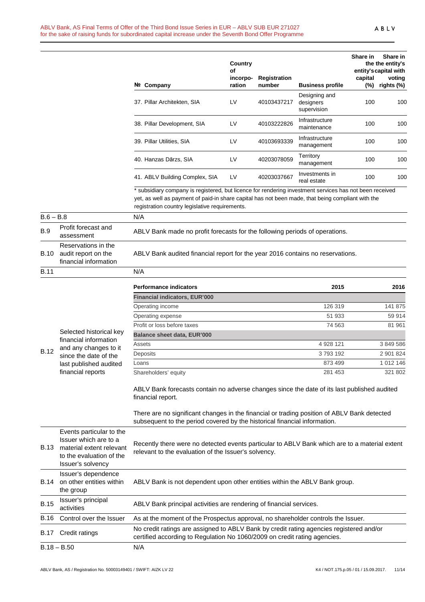|             |                                                                                                                                | Nº Company                                                                                                                                                                                                                                                     | Country<br>of<br>incorpo-<br>ration | <b>Registration</b><br>number | <b>Business profile</b>                   | Share in<br>capital | Share in<br>the the entity's<br>entity's capital with<br>voting<br>(%) rights (%) |
|-------------|--------------------------------------------------------------------------------------------------------------------------------|----------------------------------------------------------------------------------------------------------------------------------------------------------------------------------------------------------------------------------------------------------------|-------------------------------------|-------------------------------|-------------------------------------------|---------------------|-----------------------------------------------------------------------------------|
|             |                                                                                                                                | 37. Pillar Architekten, SIA                                                                                                                                                                                                                                    | LV                                  | 40103437217                   | Designing and<br>designers<br>supervision | 100                 | 100                                                                               |
|             |                                                                                                                                | 38. Pillar Development, SIA                                                                                                                                                                                                                                    | LV                                  | 40103222826                   | Infrastructure<br>maintenance             | 100                 | 100                                                                               |
|             |                                                                                                                                | 39. Pillar Utilities, SIA                                                                                                                                                                                                                                      | LV                                  | 40103693339                   | Infrastructure<br>management              | 100                 | 100                                                                               |
|             |                                                                                                                                | 40. Hanzas Dārzs, SIA                                                                                                                                                                                                                                          | LV                                  | 40203078059                   | Territory<br>management                   | 100                 | 100                                                                               |
|             |                                                                                                                                | 41. ABLV Building Complex, SIA                                                                                                                                                                                                                                 | LV                                  | 40203037667                   | Investments in<br>real estate             | 100                 | 100                                                                               |
|             |                                                                                                                                | * subsidiary company is registered, but licence for rendering investment services has not been received<br>yet, as well as payment of paid-in share capital has not been made, that being compliant with the<br>registration country legislative requirements. |                                     |                               |                                           |                     |                                                                                   |
| $B.6 - B.8$ |                                                                                                                                | N/A                                                                                                                                                                                                                                                            |                                     |                               |                                           |                     |                                                                                   |
| <b>B.9</b>  | Profit forecast and<br>assessment                                                                                              | ABLV Bank made no profit forecasts for the following periods of operations.                                                                                                                                                                                    |                                     |                               |                                           |                     |                                                                                   |
| B.10        | Reservations in the<br>audit report on the<br>financial information                                                            | ABLV Bank audited financial report for the year 2016 contains no reservations.                                                                                                                                                                                 |                                     |                               |                                           |                     |                                                                                   |
| <b>B.11</b> |                                                                                                                                | N/A                                                                                                                                                                                                                                                            |                                     |                               |                                           |                     |                                                                                   |
|             |                                                                                                                                |                                                                                                                                                                                                                                                                |                                     |                               |                                           |                     |                                                                                   |
|             |                                                                                                                                | <b>Performance indicators</b>                                                                                                                                                                                                                                  |                                     |                               | 2015                                      |                     | 2016                                                                              |
|             |                                                                                                                                | <b>Financial indicators, EUR'000</b>                                                                                                                                                                                                                           |                                     |                               |                                           |                     |                                                                                   |
|             |                                                                                                                                | Operating income                                                                                                                                                                                                                                               |                                     |                               | 126 319                                   |                     | 141 875                                                                           |
|             |                                                                                                                                | Operating expense                                                                                                                                                                                                                                              |                                     |                               | 51 933                                    |                     | 59 914                                                                            |
|             | Selected historical kev                                                                                                        | Profit or loss before taxes                                                                                                                                                                                                                                    |                                     |                               | 74 563                                    |                     | 81 961                                                                            |
|             | financial information                                                                                                          | <b>Balance sheet data, EUR'000</b>                                                                                                                                                                                                                             |                                     |                               |                                           |                     |                                                                                   |
|             | and any changes to it                                                                                                          | Assets                                                                                                                                                                                                                                                         |                                     |                               | 4 928 121                                 |                     | 3 849 586                                                                         |
| <b>B.12</b> | since the date of the                                                                                                          | Deposits                                                                                                                                                                                                                                                       |                                     |                               | 3793192                                   |                     | 2 901 824                                                                         |
|             | last published audited                                                                                                         | Loans                                                                                                                                                                                                                                                          |                                     |                               | 873 499                                   |                     | 1 012 146                                                                         |
|             | financial reports                                                                                                              | Shareholders' equity                                                                                                                                                                                                                                           |                                     |                               | 281 453                                   |                     | 321 802                                                                           |
|             |                                                                                                                                | ABLV Bank forecasts contain no adverse changes since the date of its last published audited<br>financial report.                                                                                                                                               |                                     |                               |                                           |                     |                                                                                   |
|             |                                                                                                                                | There are no significant changes in the financial or trading position of ABLV Bank detected<br>subsequent to the period covered by the historical financial information.                                                                                       |                                     |                               |                                           |                     |                                                                                   |
| B.13        | Events particular to the<br>Issuer which are to a<br>material extent relevant<br>to the evaluation of the<br>Issuer's solvency | Recently there were no detected events particular to ABLV Bank which are to a material extent<br>relevant to the evaluation of the Issuer's solvency.                                                                                                          |                                     |                               |                                           |                     |                                                                                   |
| B.14        | Issuer's dependence<br>on other entities within<br>the group                                                                   | ABLV Bank is not dependent upon other entities within the ABLV Bank group.                                                                                                                                                                                     |                                     |                               |                                           |                     |                                                                                   |
| <b>B.15</b> | Issuer's principal<br>activities                                                                                               | ABLV Bank principal activities are rendering of financial services.                                                                                                                                                                                            |                                     |                               |                                           |                     |                                                                                   |
| B.16        | Control over the Issuer                                                                                                        | As at the moment of the Prospectus approval, no shareholder controls the Issuer.                                                                                                                                                                               |                                     |                               |                                           |                     |                                                                                   |
| B.17        | Credit ratings                                                                                                                 | No credit ratings are assigned to ABLV Bank by credit rating agencies registered and/or<br>certified according to Regulation No 1060/2009 on credit rating agencies.                                                                                           |                                     |                               |                                           |                     |                                                                                   |
|             | $B.18 - B.50$                                                                                                                  | N/A                                                                                                                                                                                                                                                            |                                     |                               |                                           |                     |                                                                                   |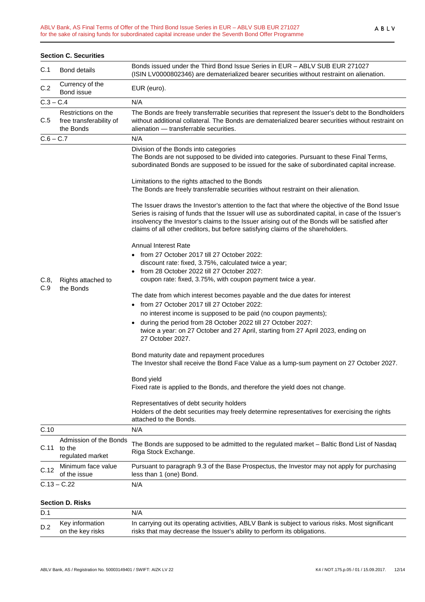| <b>Section C. Securities</b> |                                                             |                                                                                                                                                                                                                                                                                                                                                                                                                                                                                                                                                                                                                                                                                                                                                                                                                                                                                                                                                                                                             |  |  |  |
|------------------------------|-------------------------------------------------------------|-------------------------------------------------------------------------------------------------------------------------------------------------------------------------------------------------------------------------------------------------------------------------------------------------------------------------------------------------------------------------------------------------------------------------------------------------------------------------------------------------------------------------------------------------------------------------------------------------------------------------------------------------------------------------------------------------------------------------------------------------------------------------------------------------------------------------------------------------------------------------------------------------------------------------------------------------------------------------------------------------------------|--|--|--|
| C.1                          | <b>Bond details</b>                                         | Bonds issued under the Third Bond Issue Series in EUR - ABLV SUB EUR 271027<br>(ISIN LV0000802346) are dematerialized bearer securities without restraint on alienation.                                                                                                                                                                                                                                                                                                                                                                                                                                                                                                                                                                                                                                                                                                                                                                                                                                    |  |  |  |
| C.2                          | Currency of the<br>Bond issue                               | EUR (euro).                                                                                                                                                                                                                                                                                                                                                                                                                                                                                                                                                                                                                                                                                                                                                                                                                                                                                                                                                                                                 |  |  |  |
| $C.3 - C.4$                  |                                                             | N/A                                                                                                                                                                                                                                                                                                                                                                                                                                                                                                                                                                                                                                                                                                                                                                                                                                                                                                                                                                                                         |  |  |  |
| C.5                          | Restrictions on the<br>free transferability of<br>the Bonds | The Bonds are freely transferrable securities that represent the Issuer's debt to the Bondholders<br>without additional collateral. The Bonds are dematerialized bearer securities without restraint on<br>alienation - transferrable securities.                                                                                                                                                                                                                                                                                                                                                                                                                                                                                                                                                                                                                                                                                                                                                           |  |  |  |
| $C.6 - C.7$                  |                                                             | N/A                                                                                                                                                                                                                                                                                                                                                                                                                                                                                                                                                                                                                                                                                                                                                                                                                                                                                                                                                                                                         |  |  |  |
|                              |                                                             | Division of the Bonds into categories<br>The Bonds are not supposed to be divided into categories. Pursuant to these Final Terms,<br>subordinated Bonds are supposed to be issued for the sake of subordinated capital increase.                                                                                                                                                                                                                                                                                                                                                                                                                                                                                                                                                                                                                                                                                                                                                                            |  |  |  |
|                              |                                                             | Limitations to the rights attached to the Bonds<br>The Bonds are freely transferrable securities without restraint on their alienation.                                                                                                                                                                                                                                                                                                                                                                                                                                                                                                                                                                                                                                                                                                                                                                                                                                                                     |  |  |  |
|                              |                                                             | The Issuer draws the Investor's attention to the fact that where the objective of the Bond Issue<br>Series is raising of funds that the Issuer will use as subordinated capital, in case of the Issuer's<br>insolvency the Investor's claims to the Issuer arising out of the Bonds will be satisfied after<br>claims of all other creditors, but before satisfying claims of the shareholders.                                                                                                                                                                                                                                                                                                                                                                                                                                                                                                                                                                                                             |  |  |  |
| C.8,<br>C.9                  | Rights attached to<br>the Bonds                             | Annual Interest Rate<br>• from 27 October 2017 till 27 October 2022:<br>discount rate: fixed, 3.75%, calculated twice a year;<br>from 28 October 2022 till 27 October 2027:<br>coupon rate: fixed, 3.75%, with coupon payment twice a year.<br>The date from which interest becomes payable and the due dates for interest<br>• from 27 October 2017 till 27 October 2022:<br>no interest income is supposed to be paid (no coupon payments);<br>during the period from 28 October 2022 till 27 October 2027:<br>twice a year: on 27 October and 27 April, starting from 27 April 2023, ending on<br>27 October 2027.<br>Bond maturity date and repayment procedures<br>The Investor shall receive the Bond Face Value as a lump-sum payment on 27 October 2027.<br>Bond yield<br>Fixed rate is applied to the Bonds, and therefore the yield does not change.<br>Representatives of debt security holders<br>Holders of the debt securities may freely determine representatives for exercising the rights |  |  |  |
| C.10                         |                                                             | attached to the Bonds.<br>N/A                                                                                                                                                                                                                                                                                                                                                                                                                                                                                                                                                                                                                                                                                                                                                                                                                                                                                                                                                                               |  |  |  |
|                              | Admission of the Bonds                                      |                                                                                                                                                                                                                                                                                                                                                                                                                                                                                                                                                                                                                                                                                                                                                                                                                                                                                                                                                                                                             |  |  |  |
| C.11                         | to the<br>regulated market                                  | The Bonds are supposed to be admitted to the regulated market - Baltic Bond List of Nasdaq<br>Riga Stock Exchange.                                                                                                                                                                                                                                                                                                                                                                                                                                                                                                                                                                                                                                                                                                                                                                                                                                                                                          |  |  |  |
| C.12                         | Minimum face value<br>of the issue                          | Pursuant to paragraph 9.3 of the Base Prospectus, the Investor may not apply for purchasing<br>less than 1 (one) Bond.                                                                                                                                                                                                                                                                                                                                                                                                                                                                                                                                                                                                                                                                                                                                                                                                                                                                                      |  |  |  |
|                              | $C.13 - C.22$                                               | N/A                                                                                                                                                                                                                                                                                                                                                                                                                                                                                                                                                                                                                                                                                                                                                                                                                                                                                                                                                                                                         |  |  |  |
| <b>Section D. Risks</b>      |                                                             |                                                                                                                                                                                                                                                                                                                                                                                                                                                                                                                                                                                                                                                                                                                                                                                                                                                                                                                                                                                                             |  |  |  |
| D.1                          |                                                             | N/A                                                                                                                                                                                                                                                                                                                                                                                                                                                                                                                                                                                                                                                                                                                                                                                                                                                                                                                                                                                                         |  |  |  |
|                              |                                                             |                                                                                                                                                                                                                                                                                                                                                                                                                                                                                                                                                                                                                                                                                                                                                                                                                                                                                                                                                                                                             |  |  |  |

| --- |                     | .                                                                                                 |
|-----|---------------------|---------------------------------------------------------------------------------------------------|
|     | D.2 Key information | In carrying out its operating activities, ABLV Bank is subject to various risks. Most significant |
|     | on the key risks    | risks that may decrease the Issuer's ability to perform its obligations.                          |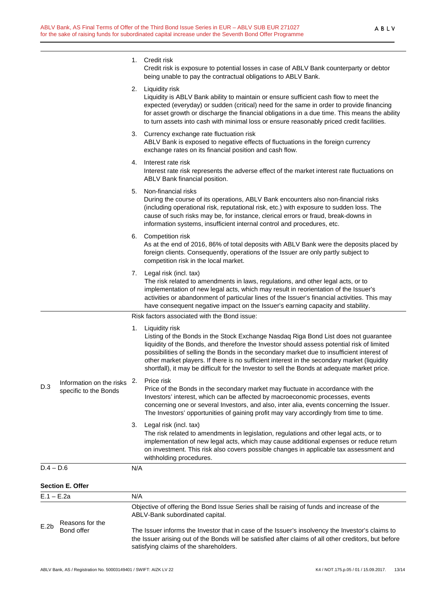|              |                                                   |     | 1. Credit risk<br>Credit risk is exposure to potential losses in case of ABLV Bank counterparty or debtor<br>being unable to pay the contractual obligations to ABLV Bank.                                                                                                                                                                                                                                                                                                                          |  |  |
|--------------|---------------------------------------------------|-----|-----------------------------------------------------------------------------------------------------------------------------------------------------------------------------------------------------------------------------------------------------------------------------------------------------------------------------------------------------------------------------------------------------------------------------------------------------------------------------------------------------|--|--|
|              |                                                   |     | 2. Liquidity risk<br>Liquidity is ABLV Bank ability to maintain or ensure sufficient cash flow to meet the<br>expected (everyday) or sudden (critical) need for the same in order to provide financing<br>for asset growth or discharge the financial obligations in a due time. This means the ability<br>to turn assets into cash with minimal loss or ensure reasonably priced credit facilities.                                                                                                |  |  |
|              |                                                   |     | 3. Currency exchange rate fluctuation risk<br>ABLV Bank is exposed to negative effects of fluctuations in the foreign currency<br>exchange rates on its financial position and cash flow.                                                                                                                                                                                                                                                                                                           |  |  |
|              |                                                   |     | 4. Interest rate risk<br>Interest rate risk represents the adverse effect of the market interest rate fluctuations on<br>ABLV Bank financial position.                                                                                                                                                                                                                                                                                                                                              |  |  |
|              |                                                   | 5.  | Non-financial risks<br>During the course of its operations, ABLV Bank encounters also non-financial risks<br>(including operational risk, reputational risk, etc.) with exposure to sudden loss. The<br>cause of such risks may be, for instance, clerical errors or fraud, break-downs in<br>information systems, insufficient internal control and procedures, etc.                                                                                                                               |  |  |
|              |                                                   |     | 6. Competition risk<br>As at the end of 2016, 86% of total deposits with ABLV Bank were the deposits placed by<br>foreign clients. Consequently, operations of the Issuer are only partly subject to<br>competition risk in the local market.                                                                                                                                                                                                                                                       |  |  |
|              |                                                   |     | 7. Legal risk (incl. tax)<br>The risk related to amendments in laws, regulations, and other legal acts, or to<br>implementation of new legal acts, which may result in reorientation of the Issuer's<br>activities or abandonment of particular lines of the Issuer's financial activities. This may<br>have consequent negative impact on the Issuer's earning capacity and stability.                                                                                                             |  |  |
|              |                                                   |     | Risk factors associated with the Bond issue:                                                                                                                                                                                                                                                                                                                                                                                                                                                        |  |  |
|              |                                                   |     | 1. Liquidity risk<br>Listing of the Bonds in the Stock Exchange Nasdaq Riga Bond List does not guarantee<br>liquidity of the Bonds, and therefore the Investor should assess potential risk of limited<br>possibilities of selling the Bonds in the secondary market due to insufficient interest of<br>other market players. If there is no sufficient interest in the secondary market (liquidity<br>shortfall), it may be difficult for the Investor to sell the Bonds at adequate market price. |  |  |
| D.3          | Information on the risks<br>specific to the Bonds | 2.  | Price risk<br>Price of the Bonds in the secondary market may fluctuate in accordance with the<br>Investors' interest, which can be affected by macroeconomic processes, events<br>concerning one or several Investors, and also, inter alia, events concerning the Issuer.<br>The Investors' opportunities of gaining profit may vary accordingly from time to time.                                                                                                                                |  |  |
|              |                                                   | 3.  | Legal risk (incl. tax)<br>The risk related to amendments in legislation, regulations and other legal acts, or to<br>implementation of new legal acts, which may cause additional expenses or reduce return<br>on investment. This risk also covers possible changes in applicable tax assessment and<br>withholding procedures.                                                                                                                                                                     |  |  |
| $D.4 - D.6$  |                                                   | N/A |                                                                                                                                                                                                                                                                                                                                                                                                                                                                                                     |  |  |
|              | <b>Section E. Offer</b>                           |     |                                                                                                                                                                                                                                                                                                                                                                                                                                                                                                     |  |  |
| $E.1 - E.2a$ |                                                   | N/A |                                                                                                                                                                                                                                                                                                                                                                                                                                                                                                     |  |  |
|              | Reasons for the<br>Bond offer                     |     | Objective of offering the Bond Issue Series shall be raising of funds and increase of the<br>ABLV-Bank subordinated capital.                                                                                                                                                                                                                                                                                                                                                                        |  |  |
| E.2b         |                                                   |     | The Issuer informs the Investor that in case of the Issuer's insolvency the Investor's claims to<br>the Issuer arising out of the Bonds will be satisfied after claims of all other creditors, but before<br>satisfying claims of the shareholders.                                                                                                                                                                                                                                                 |  |  |